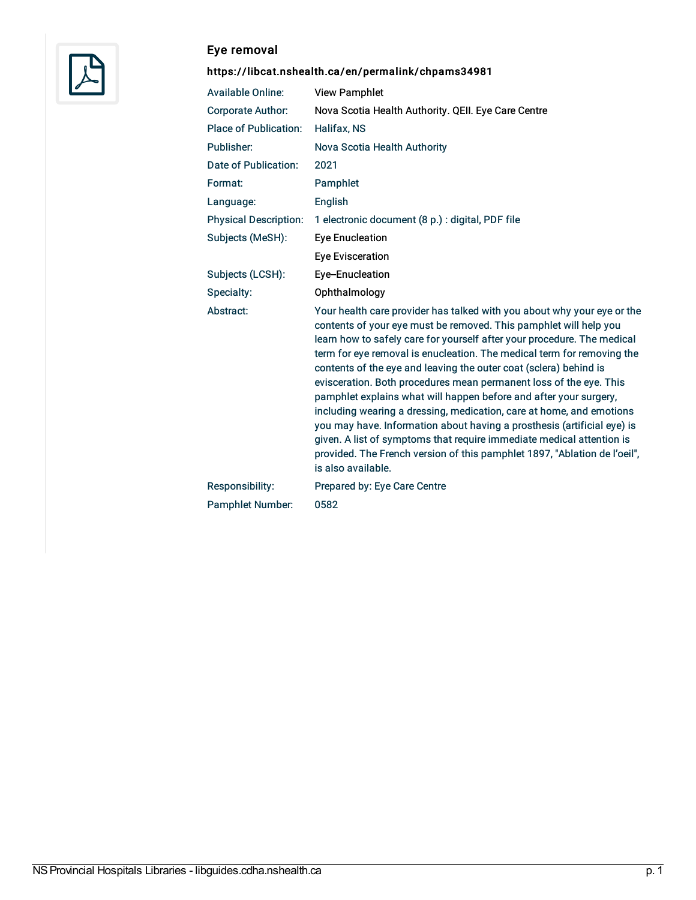

## Eye removal

## <https://libcat.nshealth.ca/en/permalink/chpams34981>

| <b>Available Online:</b>     | <b>View Pamphlet</b>                                                                                                                                                                                                                                                                                                                                                                                                                                                                                                                                                                                                                                                                                                                                                                                                                             |
|------------------------------|--------------------------------------------------------------------------------------------------------------------------------------------------------------------------------------------------------------------------------------------------------------------------------------------------------------------------------------------------------------------------------------------------------------------------------------------------------------------------------------------------------------------------------------------------------------------------------------------------------------------------------------------------------------------------------------------------------------------------------------------------------------------------------------------------------------------------------------------------|
| <b>Corporate Author:</b>     | Nova Scotia Health Authority. QEII. Eye Care Centre                                                                                                                                                                                                                                                                                                                                                                                                                                                                                                                                                                                                                                                                                                                                                                                              |
| <b>Place of Publication:</b> | Halifax, NS                                                                                                                                                                                                                                                                                                                                                                                                                                                                                                                                                                                                                                                                                                                                                                                                                                      |
| Publisher:                   | Nova Scotia Health Authority                                                                                                                                                                                                                                                                                                                                                                                                                                                                                                                                                                                                                                                                                                                                                                                                                     |
| Date of Publication:         | 2021                                                                                                                                                                                                                                                                                                                                                                                                                                                                                                                                                                                                                                                                                                                                                                                                                                             |
| Format:                      | Pamphlet                                                                                                                                                                                                                                                                                                                                                                                                                                                                                                                                                                                                                                                                                                                                                                                                                                         |
| Language:                    | English                                                                                                                                                                                                                                                                                                                                                                                                                                                                                                                                                                                                                                                                                                                                                                                                                                          |
| <b>Physical Description:</b> | 1 electronic document (8 p.) : digital, PDF file                                                                                                                                                                                                                                                                                                                                                                                                                                                                                                                                                                                                                                                                                                                                                                                                 |
| Subjects (MeSH):             | <b>Eye Enucleation</b>                                                                                                                                                                                                                                                                                                                                                                                                                                                                                                                                                                                                                                                                                                                                                                                                                           |
|                              | <b>Eye Evisceration</b>                                                                                                                                                                                                                                                                                                                                                                                                                                                                                                                                                                                                                                                                                                                                                                                                                          |
| Subjects (LCSH):             | Eye-Enucleation                                                                                                                                                                                                                                                                                                                                                                                                                                                                                                                                                                                                                                                                                                                                                                                                                                  |
| Specialty:                   | Ophthalmology                                                                                                                                                                                                                                                                                                                                                                                                                                                                                                                                                                                                                                                                                                                                                                                                                                    |
| Abstract:                    | Your health care provider has talked with you about why your eye or the<br>contents of your eye must be removed. This pamphlet will help you<br>learn how to safely care for yourself after your procedure. The medical<br>term for eye removal is enucleation. The medical term for removing the<br>contents of the eye and leaving the outer coat (sclera) behind is<br>evisceration. Both procedures mean permanent loss of the eye. This<br>pamphlet explains what will happen before and after your surgery,<br>including wearing a dressing, medication, care at home, and emotions<br>you may have. Information about having a prosthesis (artificial eye) is<br>given. A list of symptoms that require immediate medical attention is<br>provided. The French version of this pamphlet 1897, "Ablation de l'oeil",<br>is also available. |
| Responsibility:              | Prepared by: Eye Care Centre                                                                                                                                                                                                                                                                                                                                                                                                                                                                                                                                                                                                                                                                                                                                                                                                                     |
| <b>Pamphlet Number:</b>      | 0582                                                                                                                                                                                                                                                                                                                                                                                                                                                                                                                                                                                                                                                                                                                                                                                                                                             |